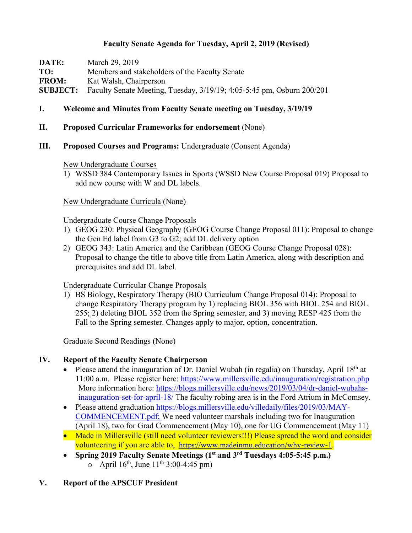## **Faculty Senate Agenda for Tuesday, April 2, 2019 (Revised)**

**DATE:** March 29, 2019 **TO:** Members and stakeholders of the Faculty Senate **FROM:** Kat Walsh, Chairperson **SUBJECT:** Faculty Senate Meeting, Tuesday, 3/19/19; 4:05-5:45 pm, Osburn 200/201

## **I. Welcome and Minutes from Faculty Senate meeting on Tuesday, 3/19/19**

### **II. Proposed Curricular Frameworks for endorsement** (None)

**III. Proposed Courses and Programs:** Undergraduate (Consent Agenda)

New Undergraduate Courses

1) WSSD 384 Contemporary Issues in Sports (WSSD New Course Proposal 019) Proposal to add new course with W and DL labels.

New Undergraduate Curricula (None)

#### Undergraduate Course Change Proposals

- 1) GEOG 230: Physical Geography (GEOG Course Change Proposal 011): Proposal to change the Gen Ed label from G3 to G2; add DL delivery option
- 2) GEOG 343: Latin America and the Caribbean (GEOG Course Change Proposal 028): Proposal to change the title to above title from Latin America, along with description and prerequisites and add DL label.

#### Undergraduate Curricular Change Proposals

1) BS Biology, Respiratory Therapy (BIO Curriculum Change Proposal 014): Proposal to change Respiratory Therapy program by 1) replacing BIOL 356 with BIOL 254 and BIOL 255; 2) deleting BIOL 352 from the Spring semester, and 3) moving RESP 425 from the Fall to the Spring semester. Changes apply to major, option, concentration.

Graduate Second Readings (None)

### **IV. Report of the Faculty Senate Chairperson**

- Please attend the inauguration of Dr. Daniel Wubah (in regalia) on Thursday, April  $18<sup>th</sup>$  at 11:00 a.m. Please register here: https://www.millersville.edu/inauguration/registration.php More information here: https://blogs.millersville.edu/news/2019/03/04/dr-daniel-wubahsinauguration-set-for-april-18/ The faculty robing area is in the Ford Atrium in McComsey.
- Please attend graduation https://blogs.millersville.edu/villedaily/files/2019/03/MAY-COMMENCEMENT.pdf; We need volunteer marshals including two for Inauguration (April 18), two for Grad Commencement (May 10), one for UG Commencement (May 11)
- Made in Millersville (still need volunteer reviewers!!!) Please spread the word and consider volunteering if you are able to, https://www.madeinmu.education/why-review-1.
- **Spring 2019 Faculty Senate Meetings (1st and 3rd Tuesdays 4:05-5:45 p.m.)**  $\circ$  April 16<sup>th</sup>, June 11<sup>th</sup> 3:00-4:45 pm)

### **V. Report of the APSCUF President**